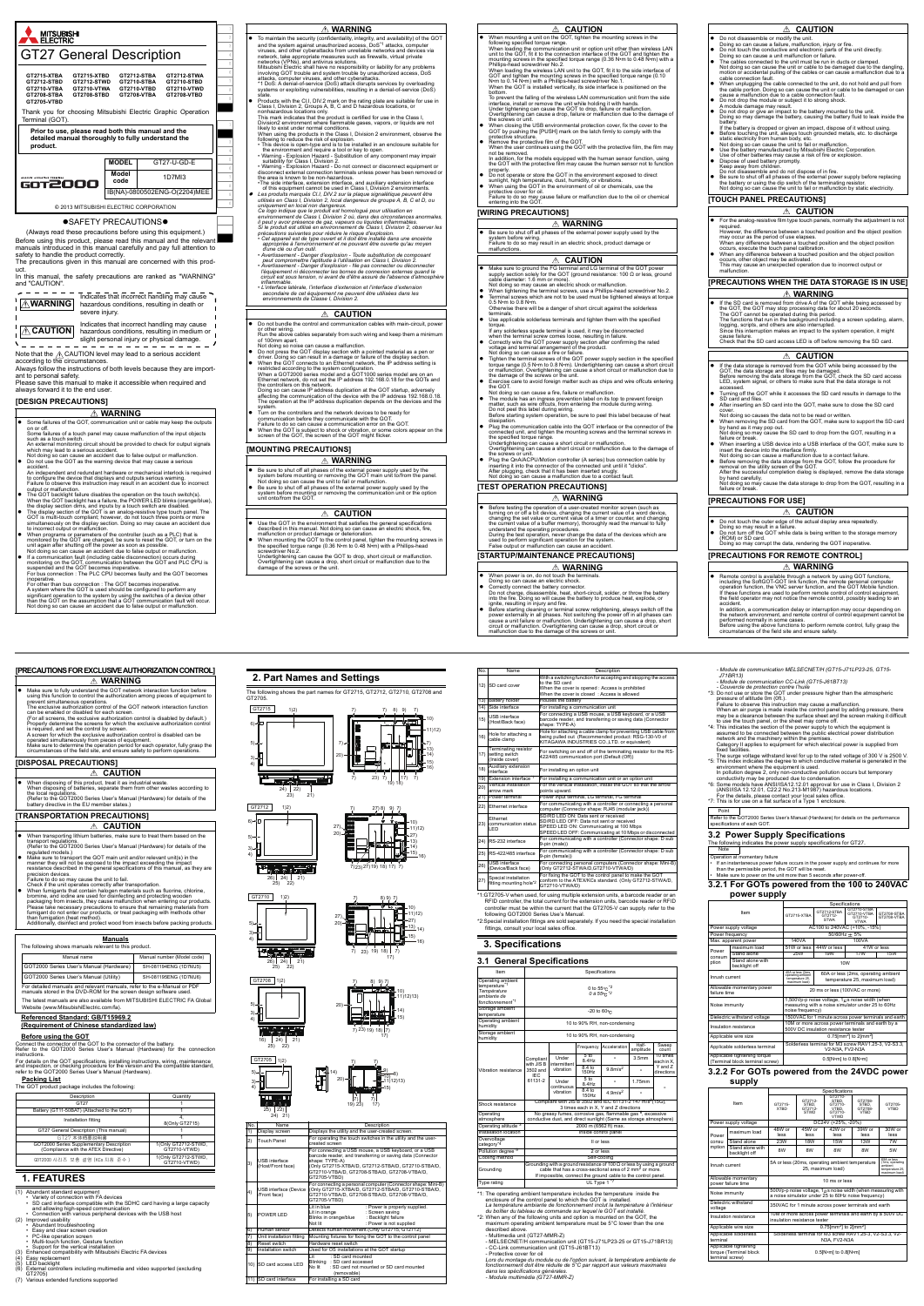

#### **OSAFETY PRECAUTIONSO**

2

5

8

1

4

7

0

.

 $\bullet$  To maintain the security (confidentiality, integrity, and availability) of the GOT and the system against unauthorized access, Dos<sup>21</sup> attacks, computer viruses, and other cyberattacks from unreliable networks and de network, take appropriate measures such as firewalls, virtual private<br>networks, take appropriate measures such as firewalls, virtual private<br>Mitsubishi Electric shall have no responsibility or liability for any problems<br>in

state<br>• Products with the CI.I, DIV.2 mark on the rating plate are suitable for use in<br>Class I, Division 2, Groups A, B, C and D hazardous locations, or<br>conhazardous locations only.<br>This mark indicates that the product is

This many indicates that the product is conflicted to disc in the ortists it,<br>Division2 environment where flammable gases, vapors, or liquids are not likely to exist under normal conditions.<br>When using the products in the Class I, Division 2 environment, observe the

When using the products in the Claas I, Division 2 environment, observe the This device is open-type and is to be installed in an enclosure suitable for the environment and require a tool or key to open.<br>The device is open

of this equipment cannot be used in Class I, Division 2 environments.<br>
• Les produits marqués CII, DIV2 sur la plaque signalétique peuvent être<br>
utilisées en Class I, Division 2, local dangereux de groupe A, B, C et D, ou<br>

 $\frac{1}{\sqrt{1-\frac{1}{1-\frac{1}{1-\frac{1}{1-\frac{1}{1-\frac{1}{1-\frac{1}{1-\frac{1}{1-\frac{1}{1-\frac{1}{1-\frac{1}{1-\frac{1}{1-\frac{1}{1-\frac{1}{1-\frac{1}{1-\frac{1}{1-\frac{1}{1-\frac{1}{1-\frac{1}{1-\frac{1}{1-\frac{1}{1-\frac{1}{1-\frac{1}{1-\frac{1}{1-\frac{1}{1-\frac{1}{1-\frac{1}{1-\frac{1}{1-\frac{1}{1-\frac{1}{1-\frac{1}{1-\frac{1}{1-\frac{1}{1-\frac{1}{1-\frac{1}{1-\frac{1}{1-\$  $\triangle$  **WARNING** hazardous conditions, resulting in death or severe injury.

Indicates that incorrect handling may cause  $\triangle$  **CAUTION** hazardous conditions, resulting in medium or slight personal injury or physical damage.

(Always read these precautions before using this equipment.) Before using this product, please read this manual and the relevant manuals introduced in this manual carefully and pay full attention to safety to handle the product correctly.

- on or off. Some failures of a touch panel may cause malfunction of the input objects such as a touch switch.
- An external monitoring circuit should be provided to check for output signals which may lead to a serious accident. Not doing so can cause an accident due to false output or malfunction. Do not use the GOT as the warning device that may cause a serious

The precautions given in this manual are concerned with this product. In this manual, the safety precautions are ranked as "WARNING" and "CAUTION".

accident .<br>endent and redundant hardware or mechanical interlock is requir to configure the device that displays and outputs serious warning. Failure to observe this instruction may result in an accident due to incorrect

- output or maffunction.<br>The GOT backlight failure disables the operation on the touch switch(s).<br>When the GOT backlight has a failure, the POWER LED blinks (orange/blue),<br>the display section dims, and inputs by a touch swit
- $\bullet$  When programs or parameters of the controller (such as a PLC) that is<br>monitored by the GOT are changed, be sure to reset the GOT, or turn on the<br>unit again after shutting off the power as soon as possible.<br>Not doing
- If a communication fault (including cable disconnection) occurs during monitoring on the GOT, communication between the GOT and PLC CPU is<br>suspended and the GOT becomes inoperative.<br>For bus connection : The PLC CPU becomes faulty and the GOT becomes
- inoperative. For other than bus connection : The GOT becomes inoperative. A system where the GOT is used should be configured to perform any<br>significant operation to the system by using the switches of a device other<br>than the GOT on the assumption that a GOT communication fault will occur.<br>Not d
- 

ant to personal safety. Please save this manual to make it accessible when required and

always forward it to the end user. **[DESIGN PRECAUTIONS]**

# **WARNING**

## Some failures of the GOT, communication unit or cable may keep the outputs

Note that the <u>パ</u>\ CAUTION level may lead to a serious accident<br>according to the circumstances.<br>Always follow the instructions of both levels because they are import-

- of 100mm apart.
- 
- Not doing so noise can cause a maffunction.<br>
On ord press the GOT display section with a pointed material as a pen or<br>
driver. Doing so can result in a damage or failure of the display section.<br>
 When the GOT dometels to

# **[MOUNTING PRECAUTIONS]**

- **WARNING**
- Be sure to shut off all phases of the external power supply used by the<br>system before mounting or removing the GOT main unit to/from the panel.<br>Not doing so can cause the unit to fail or mafinuncion.<br>
 Be sure to shut
- 

 When mounting a unit on the GOT, tighten the mounting screws in the following specified torque range.<br>When loading the communication unit or option unit other than wireless LAN<br>unit to the GOT, fit it to the connection interface of the GOT and tighten the<br>mounting screws in the specified t Phillips-nead screwariver No.2.<br>When loading the wireless LAN unit to the GOT, fit it to the side interface of GOT and tighten the mounting screws in the specified torque range (0.10<br>N•m to 0.14 N•m) with a Phillips-head screwdriver No.1.<br>When the GOT is installed vertically, its side interface is positioned on the

bottom. To prevent the falling of the wireless LAN communication unit from the side interface, install or remove the unit while holding it with hands. To prevent the rating of the wireless EAN communication than thorn the state<br>interface, install or remove the unit while holding it with hands.<br>Under tightening can cause the GOT to drop, failure or malfunction.<br>Overtighte

- Deverightening can cause a drop, failure or malfunction due to the damage of<br>the screws or unit.<br>
The match of the serves of unit.<br>
On the yushing the ISB environmental protection cover, fix the cover to the<br>
GOT by pushin
	-
- not be removed. In addition, for the models equipped with the human sensor function, using the GOT with the protective film may cause the human sensor not to function
- 
- properly.<br>
 Do not operate or store the GOT in the environment exposed to direct<br>
sunlight, high temperature, dust, humidity, or vibrations.<br>
 When using the GOT in the environment of oil or chemicals, use the<br>
Frequency

 *environnements de Classe I, Division 2.* 

 Do not bundle the control and communication cables with main-circuit, power or other wiring. Run the above cables separately from such wiring and keep them a minimum

the controllers on this network. Doing so can cause IP address duplication at the GOT startup, adversely affecting the communication of the device with the IP address 192.168.0.18. The operation at the IP address duplication depends on the devices and the

- 
- system.<br>
I Urn on the controllers and the network devices to be ready for<br>
Furn on the controllers they communicate with the GOT.<br>
Failure to do so can cause a communication error on the GOT.<br>
I When the GOT is subject to

## **WARNING**

# **CAUTION**

# **CAUTION**

- 
- Use the GOT in the environment that satisfies the general specifications<br>described in this manual. Not doing so can cause an electric shock, fire,<br>malfunction or product damage or deterioration.<br>When mounting strews in<br>
- 

## **[WIRING PRECAUTIONS]**

## **[TEST OPERATION PRECAUTIONS]**

# **[STARTUP/MAINTENANCE PRECAUTIONS]**

 Make sure to fully understand the GOT network interaction function before using this function to control the authorization among pieces of equipment to prevent simultaneous operations. The exclusive authorization control of the GOT network interaction function can be enabled or disabled for each screen. (For all screens, the exclusive authorization control is disabled by default.) Properly determine the screens for which the exclusive authorization control is required, and set the control by screen. A screen for which the exclusive authorization control is disabled can be<br>operated simultaneously from pieces of equipment.<br>Make sure to determine the operation period for each operator, fully grasp the<br>circumstances of th

ing lithium batteries, make sure to treat them based on th transport regulations. (Refer to the GOT2000 Series User's Manual (Hardware) for details of the regulated models.) Make sure to transport the GOT main unit and/or relevant unit(s) in the manner they will not be exposed to the impact exceeding the impact resistance described in the general specifications of this manual, as they are

- Make sure to ground the FG terminal and LG terminal of the GOT power supply section solely for the GOT (ground resistance: 100 Ω or less, ground cable diameter: 1.6 mm or more).
- Not doing so may cause an electric shock or malfunction.<br>• When tightening the terminal screws, use a Phillips-head screwdriver No.2.<br>• Terminal screws which are not to be used must be tightened always at torque<br>• 0.5 N+m
- **√·**m to 0.8 N•m.<br>rwise there will be a danger of short circuit against the solderless terminals. Use applicable solderless terminals and tighten them with the specified
- 
- 
- 
- troque.<br>
The many solderless spade terminal is used, it may be disconnected<br>
when the terminal screw comes loose, resulting in failure.<br>
Cornectly wire the GOT power supply section after confirming the rated<br>
voltage and t
- 
- Not doing so can cause a fire, failure or malfunction.<br>• The module has an ingress prevention label on its top to prevent foreign<br>matter, such as wire offcuts, from entering the module during wiring.<br>Do not peel this label
- dissipation. Plug the communication cable into the GOT interface or the connector of the
	- connected unit, and tighten the mounting screws and the terminal screws in<br>the specified torque range.<br>Undertightening can cause a short circuit or malfunction.<br>Overtightening can cause a short circuit or malfunction due t
- me serews or ami.<br>Plug the QnA/ACPU/Motion controller (A series) bus connection cable by<br>Inserting it into the connector of the connected unit until it "clicks". inserting it into the connector of the connected unit until it "clicks". After plugging, check that it has been inserted snugly. Not doing so can cause a malfunction due to a contact fault.

24) 23) 22)  $^{21}$ 

<u> Teachtrach</u>

 Be sure to shut off all phases of the external power supply used by the system before wiring. Failure to do so may result in an electric shock, product damage or malfunctions. **WARNING**

- CC-Link communication unit (GT15-J61BT13)<br>- Protective cover for oil<br>L*ors du montage du module ou de l'option suivant, la température ambiante de<br>fonctionnement doit être réduite de 5°C par rapport aux valeurs maximales dans les spécifications générales. - Module multimédia (GT27-MMR-Z)*

<u>ntical installatio</u> arrow mark

nts upward Power terminal Power input terminal, LG terminal, FG term 22) Ethernet interface For communicating with a controller or connecting a personal computer (Connector shape: RJ45 (modular jack))

Ethernet communication status omr<br>ED

SD/RD LED ON: Data sent or received SD/RD LED OFF: Data not sent or received SPEED LED ON: Communicating at 100 Mbps<br>SPEED LED OFF: Communicating at 10 Mbps or disconnected<br>24) RS-232 interface For communicating with a controller (Connector shape: D sub

ape: TYPE-A)



## **CAUTION**

## **WARNING**

• Before testing the operation of a user-created monitor screen (such as<br>turning on or off a bit device, changing the current value of a word device,<br>changing the est value or current value of a timer or counter, and chang

- **WARNING**
- 

SD card cove

## **[TOUCH PANEL PRECAUTIONS]**

# **[PRECAUTIONS WHEN THE DATA STORAGE IS IN USE]**

**[PRECAUTIONS FOR USE]**

**[PRECAUTIONS FOR REMOTE CONTROL]**

## **EXAMPLE 2**

- For the analog-resistive film type touch panels, normally the adjustment is no required.<br>However, the difference between a touched position and the object position<br>may occur as the period of use elapses.<br>When any difference between a touched position and the object position<br>Occurs, execute the touch
- 
- When any difference between a touched position and the object position occurs, other object may be activated. This may cause an unexpected operation due to incorrect output or malfunction.

cause failure. Check that the SD card access LED is off before removing the SD card.

**EXAMPLE A** 

• If the data storage is removed from the GOT while being accessed by the GOT, the data storage and files may be damaged.<br>Before removing the data storage from the GOT, check the SD card access<br>LED, system signal, or other Turning off the GOT while it accesses the SD card results in damage to the SD card and files. After inserting an SD card into the GOT, make sure to close the SD card cover.<br>
Not doing so causes the data not to be read or written.<br>
• When removing the SD card from the GOT, make sure to support the SD card<br>
Not doing so may cause the SD card to drop from the GOT, resulting in a<br>
Not doin

• When inserting a USB device into a USB interface of the GOT, make sure to<br>there insert the device into the interface firmly.<br>Not doing so can cause a malfunction due to a contact failure.<br>• Before removing the data stora

■ Do not touch the outer edge of the actual display area repeatedly.<br>■ Doing so may result in a failure.<br>■ Do not turn off the GOT while data is being written to the storage memory<br>(ROM) or SD card.<br>Doing so may corrupt t

**CAUTION** 

● Remote control is available through a network by using GOT functions, including the SoftGOT-GOT link function, and the GOT Mobile function, operation function, the VNC server function, and the GOT Mobile function, the V

- Module de communication MELSECNET/H (GT15-J71LP23-25, GT15<br>J71BR13)

J71BR13)<br>
- Module de communication CC-Link (GT15-J61BT13)<br>
- Couvercle de protection contre l'huile<br>
- Couvercle de protection contrel limits<br>
- So Do not use or store the GOT under pressure higher than the atmospheric<br>

## **CAUTION**

- 
- 
- Do not disassemble or modify the unit.<br>Doing so can cause a failure, malfunction, injury or fire.<br>● Do not touch the conductive and electronic parts of the unit directly.<br>Doing so can cause a unit malfunction or failure The causes connected to the unit must be run ducts or clamped.<br>Not doing so can cause the unit or cable to be damaged due to the dangling,<br>motion or accidental pulling of the cables or can cause a malfunction due to a<br>cabl
- motion of accidental pulling of the cables or can cause a malfunction due to<br>able connection fault. When unpologing the cable connected to the unit, do not hold and pull from<br>the cause a malfunction due to a cable connecti
- 
- 
- 
- 
- 
- 
- 

**WARNING**

● If the SD card is removed from drive A of the GOT while being accessed by<br>The GOT, the GOT may stop processing data for about 20 seconds.<br>The GOT cannot be operated during this period.<br>The functions that run in the back

**WARNING**

accident.<br>In addition, a communication delay or interruption may occur depending on<br>the network environment, and remote control of control equipment cannot be<br>performed normally in some cases.<br>Before using the above functi

**[PRECAUTIONS FOR EXCLUSIVE AUTHORIZATION CONTROL]**

**[DISPOSAL PRECAUTIONS]**

**[TRANSPORTATION PRECAUTIONS]**

**Manuals**

GOT2000 Series User's Manual (Hardware) SH-081194ENG (1D7MJ5)

Manual name **Manual number (Model code)** 

Check if the unit operates correctly after transportation.<br>
When fumigants that contain halogen materials such as fluorine, chlorine, bromine, and olotine are used for disinfecting and protecting wooden<br>
packaging from ins

The following shows manuals relevant to this product.

The latest manuals are also available from MITSUBISHI ELECTRIC FA Global Website (www.MitsubishiElectric.com/fa).

## **Referenced Standard: GB/T15969.2**

## **(Requirement of Chinese standardized law)**

### **Before using the GOT**

Connect the connector of the GOT to the connector of the battery. Refer to the GOT2000 Series User's Manual (Hardware) for the connection

instructions.<br>For details on the GOT specifications, installing instructions, wiring, maintenance<br>and inspection, or checking procedure for the version and the compatible standard,<br>refer to the GOT2000 Series User's Manual

#### **Packing List**

The GOT product package includes the following:

## **1. FEATURES**

- 
- (1) Abundant standard equipment Variety of connection with FA devices SD card interface compatible with the SDHC card having a large capacity
- and allowing high-speed communication Connection with various peripheral devices with the USB host (2) Improved usability
- 
- Abundant troubleshooting
- Easy and clear screen creation PC-like operation screen
- 
- 
- 
- Multi-touch function, Gesture function Support for the vertical installation (3) Enhanced compatibility with Mitsubishi Electric FA devices (4) Easy replacement
- 
- 
- (5) LED backlight (6) External controllers including multimedia and video supported (excluding GT2705)
- (7) Various extended functions supported

For detailed manuals and relevant manuals, refer to the e-Manual or PDF manuals stored in the DVD-ROM for the screen design software used. GOT2000 Series User's Manual (Utility) SH-081195ENG (1D7MJ6)

 When disposing of this product, treat it as industrial waste. When disposing of batteries, separate them from other wastes according to the local regulations. (Refer to the GOT2000 Series User's Manual (Hardware) for details of the battery directive in the EU member states.)

**EXAMPLE ASSESS** 

precision devices. Failure to do so may cause the unit to fail.

| Description                                                                      | Quantity                            |
|----------------------------------------------------------------------------------|-------------------------------------|
| GT27                                                                             |                                     |
| Battery (GT11-50BAT) (Attached to the GOT)                                       |                                     |
| Installation fitting                                                             | 8(Only GT2715)                      |
| GT27 General Description (This manual)                                           |                                     |
| GT27 本体概要説明書                                                                     |                                     |
| GOT2000 Series Supplementary Description<br>(Compliance with the ATEX Directive) | 1(Only GT2712-STWD,<br>GT2710-VTWD) |
| GOT2000 시리즈 보충 설명 (KCs 지침 준수 )                                                   | 1(Only GT2712-STWD,<br>GT2710-VTWD) |

**WARNING**

**CAUTION**

**2. Part Names and Settings**

The following shows the part names for GT2715, GT2712, GT2710, GT2708 and GT2705.

| No. | <b>Name</b>                               | Description                                                                                                                                                                                                                                                |  |  |  |
|-----|-------------------------------------------|------------------------------------------------------------------------------------------------------------------------------------------------------------------------------------------------------------------------------------------------------------|--|--|--|
| 1)  | Display screen                            | Displays the utility and the user-created screen.                                                                                                                                                                                                          |  |  |  |
| 2)  | <b>Touch Panel</b>                        | For operating the touch switches in the utility and the user-<br>created screen                                                                                                                                                                            |  |  |  |
| 3)  | <b>USB</b> interface<br>(Host/Front face) | For connecting a USB mouse, a USB keyboard, or a USB<br>barcode reader, and transferring or saving data (Connector<br>shape: TYPE-A)<br>(Only GT2715-XTBA/D, GT2712-STBA/D, GT2710-STBA/D,<br>GT2710-VTBA/D, GT2708-STBA/D, GT2708-VTBA/D,<br>GT2705-VTBD) |  |  |  |
| 4)  | /Front face)                              | For connecting a personal computer (Connector shape: Mini-B)<br>USB interface (Device (Only GT2715-XTBA/D, GT2712-STBA/D, GT2710-STBA/D,<br>GT2710-VTBA/D, GT2708-STBA/D, GT2708-VTBA/D,<br>GT2705-VTBD)                                                   |  |  |  |
| 5)  | POWER LED                                 | I it in blue<br>: Power is properly supplied.<br>: Screen saving<br>Lit in orange<br>Blinks in orange/blue<br>: Backlight failure<br>Not lit<br>: Power is not supplied                                                                                    |  |  |  |
| 6)  | Human sensor                              | Detects human movement.(Only GT2715, GT2712)                                                                                                                                                                                                               |  |  |  |
| 7)  | Unit installation fitting                 | Mounting fixtures for fixing the GOT to the control panel                                                                                                                                                                                                  |  |  |  |
| 8)  | Reset switch                              | Hardware reset switch                                                                                                                                                                                                                                      |  |  |  |
| 9)  | Installation switch                       | Used for OS installations at the GOT startup                                                                                                                                                                                                               |  |  |  |
|     | 10) SD card access LED                    | : SD card mounted<br>l it<br>Blinking : SD card accessed<br>No lit<br>: SD card not mounted or SD card mounted<br>(removable)                                                                                                                              |  |  |  |
|     | 11) SD card interface                     | For installing a SD card                                                                                                                                                                                                                                   |  |  |  |

5) 6)

3) 4)

1)2)

19) 7) 7) 17) 7) 18)

20)

7) 7) 8) 9) 7)

10) 11)12) 13) 14) 15) 16)

7)→▌║▓▌ ▅<del>▚▟▞</del>▆▚▛▔▌║▐<sup>▃</sup>7)

GT2715

23)

5) 6)

3) 4) 8) 9)

10) 13) 14) 11)12)

20)

1)2) 7) 7)

26) 25) 22) 24) 21)

**ELECTRIC CONTROL** 

GT2710 | 1)2)

GT2712

27)

27)

27)

7) 23) 27) 19) 18) 17) 7)

23) 27)

10) 11)12)

 $\frac{15)}{16}$ 

 $\frac{15)}{16}$ 

8) 9)

7) 23) 19) 18) | 7)

17) 19) 18)

7) 7)

 $\frac{27}{20}$  1 1  $\frac{1}{22}$  27)

5) 3) 4) 20) 13) 14)

26) 25) 22) 24) 21)

GT2708 1)2)

23)

5) 3) 4)



16) 25) 22) 24) 21)

3) 4)



**3. Specifications 3.1 General Specifications** 

Item Specifications and Specifications of the Specifications of Specifications of Specifications of Specifications of Specifications of Specifications of Specifications of Specifications of Specifications of Specifications

\*2: When any of the following units and option is mounted on the GOT, the maximum operating ambient temperature must be 5°C lower than the one

described above. - Multimedia unit (GT27-MMR-Z)

- MELSECNET/H communication unit (GT15-J71LP23-25 or GT15-J71BR13)

With a switching function for accepting and stopping the access to the SD card When the cover is opened : Access is prohibited When the cover is closed : Access is allowed

15) USB interface (Host/Back face)

16) Hole for attaching a cable clamp

18) Auxiliary extension

Hole for attaching a cable clamp for preventing USB cable from being pulled out (Recommended product: RSG-130-V0 of KITAGAWA INDUSTRIES CO.,LTD. or equivalent)

17)

Terminating resistor setting switch (Inside cover)

For switching on and off of the terminating resistor for the RS-422/485 communication port (Default (Off))

| Operating ambient<br>temperature <sup>*1</sup><br>Température<br>ambiante de<br>fonctionnement <sup>*1</sup>                                                                                                                                                                                     | 0 to $55^{\circ}$ C $^{\circ}$ 2<br>0 à $55^{\circ}$ C $^{\prime}$ <sup>2</sup>                                                                                                                                      |                       |                          |                                                                                                                                              |                    |                        |
|--------------------------------------------------------------------------------------------------------------------------------------------------------------------------------------------------------------------------------------------------------------------------------------------------|----------------------------------------------------------------------------------------------------------------------------------------------------------------------------------------------------------------------|-----------------------|--------------------------|----------------------------------------------------------------------------------------------------------------------------------------------|--------------------|------------------------|
| Storage ambient<br>temperature                                                                                                                                                                                                                                                                   |                                                                                                                                                                                                                      |                       | -20 to 60°C              |                                                                                                                                              |                    |                        |
| Operating ambient<br>humidity                                                                                                                                                                                                                                                                    |                                                                                                                                                                                                                      |                       |                          | 10 to 90% RH, non-condensing                                                                                                                 |                    |                        |
| Storage ambient<br>humidity                                                                                                                                                                                                                                                                      |                                                                                                                                                                                                                      |                       |                          | 10 to 90% RH, non-condensing                                                                                                                 |                    |                        |
|                                                                                                                                                                                                                                                                                                  |                                                                                                                                                                                                                      |                       | Frequency                | Acceleration                                                                                                                                 | Half-<br>amplitude | Sweep<br>count         |
|                                                                                                                                                                                                                                                                                                  | Compliant<br>with JIS B                                                                                                                                                                                              | Under<br>intermittent | 5 <sub>to</sub><br>8.4Hz |                                                                                                                                              | 3.5 <sub>mm</sub>  | 10 times<br>each in X. |
| Vibration resistance                                                                                                                                                                                                                                                                             | 3502 and<br>IFC.                                                                                                                                                                                                     | vibration             | 8.4 to<br>150Hz          | $9.8$ m/s <sup>2</sup>                                                                                                                       |                    | Y and Z<br>directions  |
|                                                                                                                                                                                                                                                                                                  | 61131-2                                                                                                                                                                                                              | Under<br>continuous   | 5 <sub>to</sub><br>8.4Hz |                                                                                                                                              | 1.75mm             |                        |
|                                                                                                                                                                                                                                                                                                  |                                                                                                                                                                                                                      | vibration             | 8.4 to<br>150Hz          | $4.9$ m/s <sup>2</sup>                                                                                                                       |                    |                        |
| Shock resistance                                                                                                                                                                                                                                                                                 |                                                                                                                                                                                                                      |                       |                          | Compliant with JIS B 3502 and IEC 61131-2 147 m/s <sup>2</sup> (15G).<br>3 times each in X. Y and Z directions                               |                    |                        |
| Operating<br>atmosphere                                                                                                                                                                                                                                                                          |                                                                                                                                                                                                                      |                       |                          | No greasy fumes, corrosive gas, flammable gas <sup>*6</sup> , excessive<br>conductive dust, and direct sunlight (Same as storage atmosphere) |                    |                        |
| Operating altitude <sup>*3</sup>                                                                                                                                                                                                                                                                 |                                                                                                                                                                                                                      |                       | 2000 m (6562 ft) max.    |                                                                                                                                              |                    |                        |
| Installation location                                                                                                                                                                                                                                                                            |                                                                                                                                                                                                                      |                       |                          | Inside control panel                                                                                                                         |                    |                        |
| Overvoltage<br>category <sup>*4</sup>                                                                                                                                                                                                                                                            |                                                                                                                                                                                                                      |                       |                          | II or less                                                                                                                                   |                    |                        |
| Pollution degree <sup>*5</sup>                                                                                                                                                                                                                                                                   |                                                                                                                                                                                                                      |                       | 2 or less                |                                                                                                                                              |                    |                        |
| Cooling method                                                                                                                                                                                                                                                                                   |                                                                                                                                                                                                                      |                       | Self-cooling             |                                                                                                                                              |                    |                        |
| Grounding                                                                                                                                                                                                                                                                                        | Grounding with a ground resistance of 100 $\Omega$ or less by using a ground<br>cable that has a cross-sectional area of 2 mm <sup>2</sup> or more.<br>If impossible, connect the ground cable to the control panel. |                       |                          |                                                                                                                                              |                    |                        |
| Type rating                                                                                                                                                                                                                                                                                      | UL Type 1                                                                                                                                                                                                            |                       |                          |                                                                                                                                              |                    |                        |
| *1: The operating ambient temperature includes the temperature inside the<br>enclosure of the control panel to which the GOT is installed.<br>La température ambiante de fonctionnement inclut la température à l'intérieur<br>du boîtier du tableau de commande sur lequel le GOT est installé. |                                                                                                                                                                                                                      |                       |                          |                                                                                                                                              |                    |                        |

<sup>4</sup>1:GT2705-V when used, for using multiple extension units, a barcode reader or an RFID controller, the total current for the extension units, barcode reader or RFID controller must be within the current that the GT2705-V

23)

9-pin (male)) 25) RS-422/485 interface For communicating with a controller (Connector shape 9-pin (female))

26) USB interface (Device/Back face)

27) Special installation<br>fitting mounting hole<sup>\*2</sup>

13) Battery holder Houses the battery

- 
- When power is on, do not touch the terminals.<br>
 Doing so can cause an electric shock.<br>
 Correctly connect the battery connector.<br>
Do not charge, disassemble, heat, short-circuit, solder, or throw the battery<br>
into the
- Before starting cleaning or terminal screw retightening, always switch off the power externally in all phases. Not switching the power off in all phases can cracte cause a unit failure or malfunction. Undertightening ca

14) Side interface For installing a communication unit<br>15) USB interface For connecting a USB mouse, a USB keyboard, or a USB<br>15) (NortlBook food) barcode reader, and transferring or saving data (Connector

or installing an option unit 19) Extension interface<sup>\*1</sup> For installing a communication unit or an option unit  $\Omega_{00}$  Vertical installation For the vertical installation, install the GOT so that the arrow

For connecting personal computers (Connector shape: Mini-B) (Only GT2712-STWA/D,GT2710-VTWA/D)

For fixing the GOT to the control panel to make the GOT conform to the ATEX/KCs standard. (Only GT2712-STWA/D,

GT2710-VTWA/D)

Category II applies to equipment for which electrical power is supplied from fixed facilities. The surge voltage withstand level for up to the rated voltage of 300 V is 2500 V. \*5: This index indicates the degree to which conductive material is generated in the

environment where the equipment is used.<br>In pollution degree 2, only non-conductive pollution occurs but temporary<br>conductivity may be produced due to condensation.<br>
"6: Some models have ANSJ/ISA12.12.01 approval for use i

**3.2 Power Supply Specifications**

**3.2.1 For GOTs powered from the 100 to 240VAC**

maximum load 51W or less 44W or less 41W or less Stand alone | 25W | 19W | 17W | 15W

GT2715-XTBA

Power supply voltage **AC100** to 240VAC (+10%, -15%) Power frequency  $50/60$ Hz  $\pm 5\%$ Max. apparent power 140VA 100VA

backlight off 10W

**power supply**

## **3.2.2 For GOTs powered from the 24VDC power supply**

Point Refer to the GOT2000 Series User's Manual (Hardware) for details on the performance

Note

Item

GT2712-STBA GT2712- STWA

GT2708-STBA GT2708-VTBA

Power consum ption

Stand alone with

pecifications of each GOT.

Inrush current

40A or less (3ms, operating ambient temperature 25, maximum load)

Operation at momentary failure<br>• If an instantaneous power failure occurs in the power supply and continues for more<br>• than the permissible period, the GOT will be reset.<br>• Make sure to power on the unit more than 5 second

 $\frac{1}{18}$  for GT27

Specifications<br>
-STBA GT2710-STBA<br>
GT2710-VTBA<br>
VTWA<br>
VTWA

60A or less (2ms, operating ambient temperature 25, maximum load)

| Allowable momentary power<br>failure time                       | 20 ms or less (100VAC or more)                                                                                               |
|-----------------------------------------------------------------|------------------------------------------------------------------------------------------------------------------------------|
| Noise immunity                                                  | 1,500Vp-p noise voltage, $1\mu$ s noise width (when<br>measuring with a noise simulator under 25 to 60Hz<br>noise frequency) |
| Dielectric withstand voltage                                    | 1500VAC for 1 minute across power terminals and earth                                                                        |
| Insulation resistance                                           | 10M or more across power terminals and earth by a<br>500V DC insulation resistance tester                                    |
| Applicable wire size                                            | $0.75$ [mm <sup>2</sup> ] to 2[mm <sup>2</sup> ]                                                                             |
| Applicable solderless terminal                                  | Solderless terminal for M3 screw RAV1.25-3, V2-S3.3,<br>V2-N3A. FV2-N3A                                                      |
| Applicable tightening torque<br>(Terminal block terminal screw) | 0.5[N•m] to 0.8[N•m]                                                                                                         |

| Item                                                               |                                   | Specifications                                                                                                                                        |                                            |                                                                |                                            |                        |  |
|--------------------------------------------------------------------|-----------------------------------|-------------------------------------------------------------------------------------------------------------------------------------------------------|--------------------------------------------|----------------------------------------------------------------|--------------------------------------------|------------------------|--|
|                                                                    |                                   | GT2715-<br><b>XTRD</b>                                                                                                                                | GT2712-<br>STBD.<br>GT2712-<br><b>STWD</b> | GT2710-<br>STBD.<br>GT2710-<br>VTBD.<br>GT2710-<br><b>VTWD</b> | GT2708-<br>STBD.<br>GT2708-<br><b>VTRD</b> | GT2705-<br><b>VTRD</b> |  |
|                                                                    | Power supply voltage              |                                                                                                                                                       |                                            | DC24V (+25%, -20%)                                             |                                            |                        |  |
| Power                                                              | maximum load                      | 48W or<br>less                                                                                                                                        | 45W or<br>less                             | 42W or<br>less                                                 | 39W or<br>less                             | 30W or<br>less         |  |
| consu                                                              | Stand alone                       | 23W                                                                                                                                                   | <b>18W</b>                                 | 15W                                                            | 13W                                        | 7W                     |  |
| mption                                                             | Stand alone with<br>backlight off | 8W                                                                                                                                                    | 8W                                         | 8W                                                             | 8W                                         | 5W                     |  |
| Inrush current                                                     |                                   | 69A or less<br>5A or less (20ms, operating ambient temperature<br>(1ms. operating<br>amhient<br>25. maximum load)<br>temperature 25.<br>maximum load) |                                            |                                                                |                                            |                        |  |
| Allowable momentary<br>nower failure time                          |                                   | 10 ms or less                                                                                                                                         |                                            |                                                                |                                            |                        |  |
|                                                                    | Noise immunity                    | 500Vp-p noise voltage, $1U$ s noise width (when measuring with<br>a noise simulator under 25 to 60Hz noise frequency)                                 |                                            |                                                                |                                            |                        |  |
| voltage                                                            | Dielectric withstand              | 350VAC for 1 minute across power terminals and earth                                                                                                  |                                            |                                                                |                                            |                        |  |
| Insulation resistance                                              |                                   | 10M or more across power terminals and earth by a 500V DC<br>insulation resistance tester                                                             |                                            |                                                                |                                            |                        |  |
| Applicable wire size                                               |                                   | $0.75$ [mm <sup>2</sup> ] to 2[mm <sup>2</sup> ]                                                                                                      |                                            |                                                                |                                            |                        |  |
| Applicable solderless<br>terminal                                  |                                   | Solderless terminal for M3 screw RAV1.25-3, V2-S3.3, V2-<br>N3A. FV2-N3A                                                                              |                                            |                                                                |                                            |                        |  |
| Applicable tightening<br>torque (Terminal block<br>terminal screw) |                                   | $0.5$ [N $\cdot$ m] to $0.8$ [N $\cdot$ m]                                                                                                            |                                            |                                                                |                                            |                        |  |